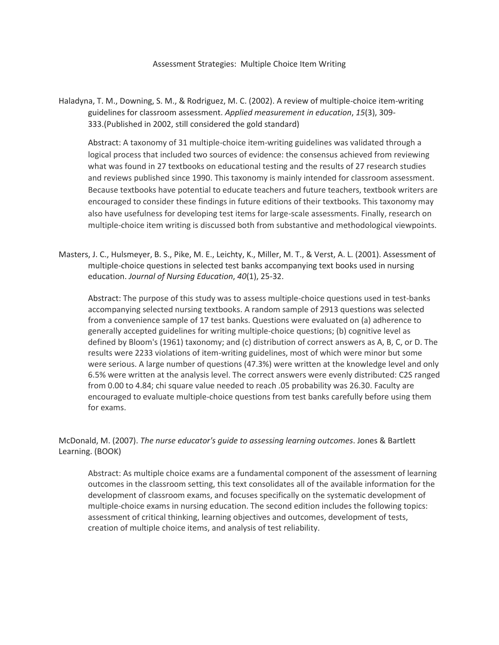Assessment Strategies: Multiple Choice Item Writing

Haladyna, T. M., Downing, S. M., & Rodriguez, M. C. (2002). A review of multiple-choice item-writing guidelines for classroom assessment. *Applied measurement in education*, *15*(3), 309- 333.(Published in 2002, still considered the gold standard)

Abstract: A taxonomy of 31 multiple-choice item-writing guidelines was validated through a logical process that included two sources of evidence: the consensus achieved from reviewing what was found in 27 textbooks on educational testing and the results of 27 research studies and reviews published since 1990. This taxonomy is mainly intended for classroom assessment. Because textbooks have potential to educate teachers and future teachers, textbook writers are encouraged to consider these findings in future editions of their textbooks. This taxonomy may also have usefulness for developing test items for large-scale assessments. Finally, research on multiple-choice item writing is discussed both from substantive and methodological viewpoints.

Masters, J. C., Hulsmeyer, B. S., Pike, M. E., Leichty, K., Miller, M. T., & Verst, A. L. (2001). Assessment of multiple-choice questions in selected test banks accompanying text books used in nursing education. *Journal of Nursing Education*, *40*(1), 25-32.

Abstract: The purpose of this study was to assess multiple-choice questions used in test-banks accompanying selected nursing textbooks. A random sample of 2913 questions was selected from a convenience sample of 17 test banks. Questions were evaluated on (a) adherence to generally accepted guidelines for writing multiple-choice questions; (b) cognitive level as defined by Bloom's (1961) taxonomy; and (c) distribution of correct answers as A, B, C, or D. The results were 2233 violations of item-writing guidelines, most of which were minor but some were serious. A large number of questions (47.3%) were written at the knowledge level and only 6.5% were written at the analysis level. The correct answers were evenly distributed: C2S ranged from 0.00 to 4.84; chi square value needed to reach .05 probability was 26.30. Faculty are encouraged to evaluate multiple-choice questions from test banks carefully before using them for exams.

McDonald, M. (2007). *The nurse educator's guide to assessing learning outcomes*. Jones & Bartlett Learning. (BOOK)

Abstract: As multiple choice exams are a fundamental component of the assessment of learning outcomes in the classroom setting, this text consolidates all of the available information for the development of classroom exams, and focuses specifically on the systematic development of multiple-choice exams in nursing education. The second edition includes the following topics: assessment of critical thinking, learning objectives and outcomes, development of tests, creation of multiple choice items, and analysis of test reliability.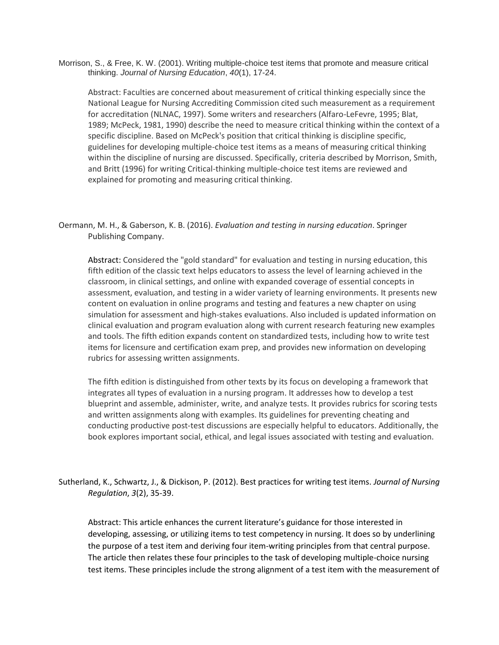Morrison, S., & Free, K. W. (2001). Writing multiple-choice test items that promote and measure critical thinking. *Journal of Nursing Education*, *40*(1), 17-24.

Abstract: Faculties are concerned about measurement of critical thinking especially since the National League for Nursing Accrediting Commission cited such measurement as a requirement for accreditation (NLNAC, 1997). Some writers and researchers (Alfaro-LeFevre, 1995; Blat, 1989; McPeck, 1981, 1990) describe the need to measure critical thinking within the context of a specific discipline. Based on McPeck's position that critical thinking is discipline specific, guidelines for developing multiple-choice test items as a means of measuring critical thinking within the discipline of nursing are discussed. Specifically, criteria described by Morrison, Smith, and Britt (1996) for writing Critical-thinking multiple-choice test items are reviewed and explained for promoting and measuring critical thinking.

Oermann, M. H., & Gaberson, K. B. (2016). *Evaluation and testing in nursing education*. Springer Publishing Company.

Abstract: Considered the "gold standard" for evaluation and testing in nursing education, this fifth edition of the classic text helps educators to assess the level of learning achieved in the classroom, in clinical settings, and online with expanded coverage of essential concepts in assessment, evaluation, and testing in a wider variety of learning environments. It presents new content on evaluation in online programs and testing and features a new chapter on using simulation for assessment and high-stakes evaluations. Also included is updated information on clinical evaluation and program evaluation along with current research featuring new examples and tools. The fifth edition expands content on standardized tests, including how to write test items for licensure and certification exam prep, and provides new information on developing rubrics for assessing written assignments.

The fifth edition is distinguished from other texts by its focus on developing a framework that integrates all types of evaluation in a nursing program. It addresses how to develop a test blueprint and assemble, administer, write, and analyze tests. It provides rubrics for scoring tests and written assignments along with examples. Its guidelines for preventing cheating and conducting productive post-test discussions are especially helpful to educators. Additionally, the book explores important social, ethical, and legal issues associated with testing and evaluation.

Sutherland, K., Schwartz, J., & Dickison, P. (2012). Best practices for writing test items. *Journal of Nursing Regulation*, *3*(2), 35-39.

Abstract: This article enhances the current literature's guidance for those interested in developing, assessing, or utilizing items to test competency in nursing. It does so by underlining the purpose of a test item and deriving four item-writing principles from that central purpose. The article then relates these four principles to the task of developing multiple-choice nursing test items. These principles include the strong alignment of a test item with the measurement of